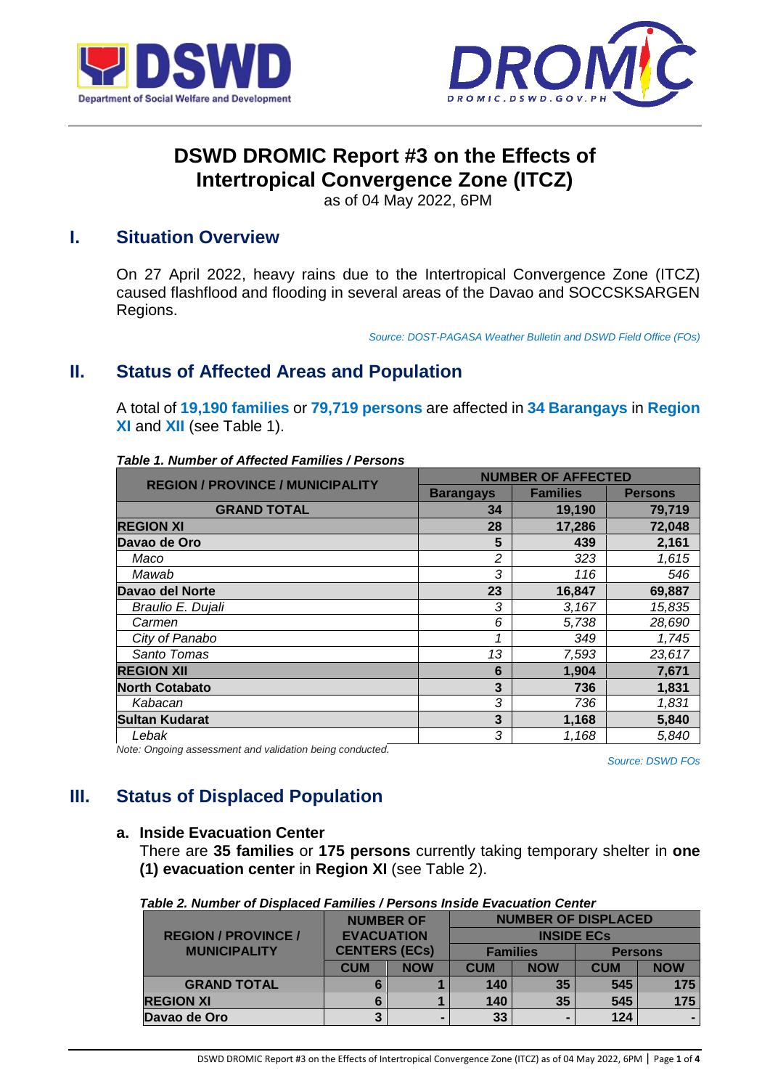



# **DSWD DROMIC Report #3 on the Effects of Intertropical Convergence Zone (ITCZ)**

as of 04 May 2022, 6PM

### **I. Situation Overview**

On 27 April 2022, heavy rains due to the Intertropical Convergence Zone (ITCZ) caused flashflood and flooding in several areas of the Davao and SOCCSKSARGEN Regions.

*Source: DOST-PAGASA Weather Bulletin and DSWD Field Office (FOs)*

## **II. Status of Affected Areas and Population**

A total of **19,190 families** or **79,719 persons** are affected in **34 Barangays** in **Region XI** and **XII** (see Table 1).

| <b>REGION / PROVINCE / MUNICIPALITY</b> | <b>NUMBER OF AFFECTED</b> |                 |                |  |
|-----------------------------------------|---------------------------|-----------------|----------------|--|
|                                         | <b>Barangays</b>          | <b>Families</b> | <b>Persons</b> |  |
| <b>GRAND TOTAL</b>                      | 34                        | 19,190          | 79,719         |  |
| <b>REGION XI</b>                        | 28                        | 17,286          | 72,048         |  |
| Davao de Oro                            | 5                         | 439             | 2,161          |  |
| Maco                                    | 2                         | 323             | 1,615          |  |
| Mawab                                   | 3                         | 116             | 546            |  |
| Davao del Norte                         | 23                        | 16,847          | 69,887         |  |
| Braulio E. Dujali                       | 3                         | 3,167           | 15,835         |  |
| Carmen                                  | 6                         | 5,738           | 28,690         |  |
| City of Panabo                          |                           | 349             | 1,745          |  |
| Santo Tomas                             | 13                        | 7,593           | 23,617         |  |
| <b>REGION XII</b>                       | 6                         | 1,904           | 7,671          |  |
| <b>North Cotabato</b>                   | 3                         | 736             | 1,831          |  |
| Kabacan                                 | 3                         | 736             | 1,831          |  |
| <b>Sultan Kudarat</b>                   | 3                         | 1,168           | 5,840          |  |
| Lebak                                   | 3                         | 1,168           | 5,840          |  |

#### *Table 1. Number of Affected Families / Persons*

*Note: Ongoing assessment and validation being conducted.*

*Source: DSWD FOs*

## **III. Status of Displaced Population**

#### **a. Inside Evacuation Center**

There are **35 families** or **175 persons** currently taking temporary shelter in **one (1) evacuation center** in **Region XI** (see Table 2).

| <b>REGION / PROVINCE /</b> | <b>NUMBER OF</b><br><b>EVACUATION</b><br><b>CENTERS (ECs)</b> |                |                 | <b>INSIDE ECS</b> | <b>NUMBER OF DISPLACED</b> |            |
|----------------------------|---------------------------------------------------------------|----------------|-----------------|-------------------|----------------------------|------------|
| <b>MUNICIPALITY</b>        |                                                               |                | <b>Families</b> |                   | <b>Persons</b>             |            |
|                            | <b>CUM</b>                                                    | <b>NOW</b>     | <b>CUM</b>      | <b>NOW</b>        | <b>CUM</b>                 | <b>NOW</b> |
| <b>GRAND TOTAL</b>         |                                                               |                | 140             | 35                | 545                        | 175        |
| <b>REGION XI</b>           |                                                               |                | 140             | 35                | 545                        | 175        |
| Davao de Oro               |                                                               | $\blacksquare$ | 33              |                   | 124                        |            |

DSWD DROMIC Report #3 on the Effects of Intertropical Convergence Zone (ITCZ) as of 04 May 2022, 6PM | Page **1** of **4**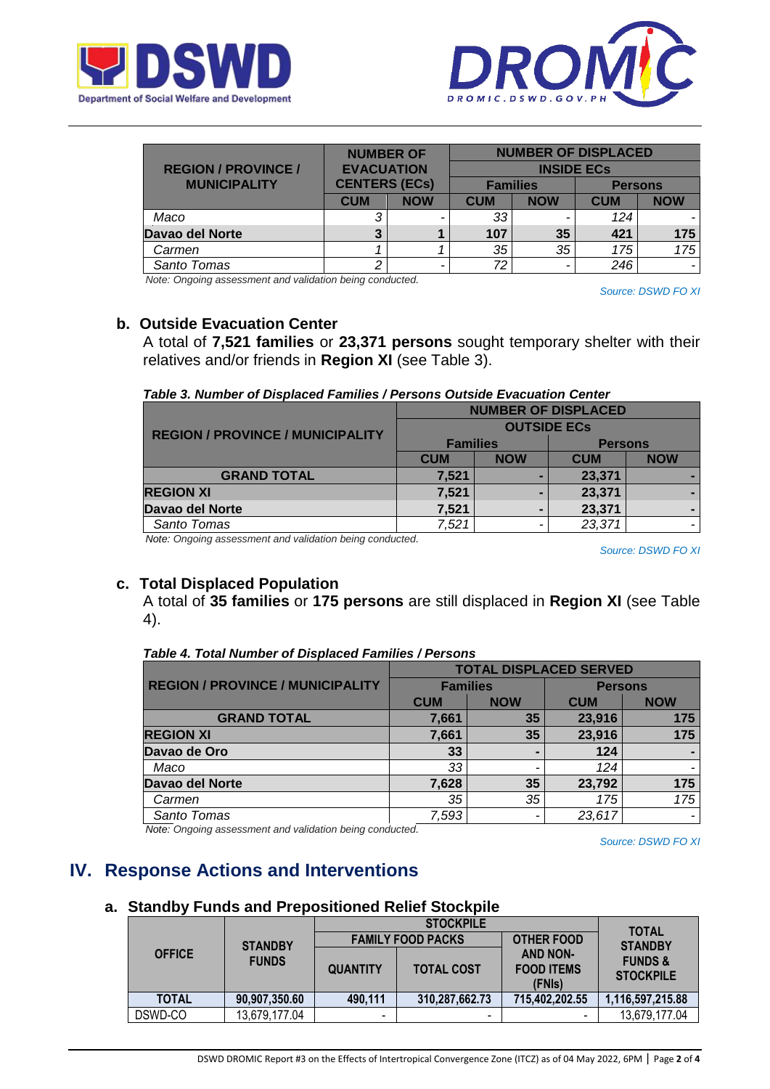



| <b>REGION / PROVINCE /</b> | <b>NUMBER OF</b><br><b>EVACUATION</b><br><b>CENTERS (ECs)</b> |            |                 |            | <b>NUMBER OF DISPLACED</b><br><b>INSIDE ECs</b> |            |
|----------------------------|---------------------------------------------------------------|------------|-----------------|------------|-------------------------------------------------|------------|
| <b>MUNICIPALITY</b>        |                                                               |            | <b>Families</b> |            | <b>Persons</b>                                  |            |
|                            | <b>CUM</b>                                                    | <b>NOW</b> | <b>CUM</b>      | <b>NOW</b> | <b>CUM</b>                                      | <b>NOW</b> |
| Maco                       |                                                               | ۰          | 33              |            | 124                                             |            |
| Davao del Norte            |                                                               |            | 107             | 35         | 421                                             | 175        |
| Carmen                     |                                                               |            | 35              | 35         | 175                                             | 175        |
| Santo Tomas                |                                                               | -          | 72              |            | 246                                             |            |

*Note: Ongoing assessment and validation being conducted.*

*Source: DSWD FO XI*

#### **b. Outside Evacuation Center**

A total of **7,521 families** or **23,371 persons** sought temporary shelter with their relatives and/or friends in **Region XI** (see Table 3).

*Table 3. Number of Displaced Families / Persons Outside Evacuation Center*

|                                         | <b>NUMBER OF DISPLACED</b> |            |                |            |  |
|-----------------------------------------|----------------------------|------------|----------------|------------|--|
| <b>REGION / PROVINCE / MUNICIPALITY</b> | <b>OUTSIDE ECS</b>         |            |                |            |  |
|                                         | <b>Families</b>            |            | <b>Persons</b> |            |  |
|                                         | <b>CUM</b>                 | <b>NOW</b> | <b>CUM</b>     | <b>NOW</b> |  |
| <b>GRAND TOTAL</b>                      | 7,521                      |            | 23,371         |            |  |
| <b>REGION XI</b>                        | 7,521                      |            | 23,371         |            |  |
| Davao del Norte                         | 7,521                      |            | 23,371         |            |  |
| Santo Tomas                             | 7,521                      |            | 23,371         |            |  |

*Note: Ongoing assessment and validation being conducted.*

*Source: DSWD FO XI*

#### **c. Total Displaced Population**

A total of **35 families** or **175 persons** are still displaced in **Region XI** (see Table 4).

#### *Table 4. Total Number of Displaced Families / Persons*

|                                         | <b>TOTAL DISPLACED SERVED</b> |            |                |            |  |
|-----------------------------------------|-------------------------------|------------|----------------|------------|--|
| <b>REGION / PROVINCE / MUNICIPALITY</b> | <b>Families</b>               |            | <b>Persons</b> |            |  |
|                                         | <b>CUM</b>                    | <b>NOW</b> | <b>CUM</b>     | <b>NOW</b> |  |
| <b>GRAND TOTAL</b>                      | 7,661                         | 35         | 23,916         | 175        |  |
| <b>REGION XI</b>                        | 7,661                         | 35         | 23,916         | 175        |  |
| Davao de Oro                            | 33                            |            | 124            |            |  |
| Maco                                    | 33                            |            | 124            |            |  |
| Davao del Norte                         | 7,628                         | 35         | 23,792         | 175        |  |
| Carmen                                  | 35                            | 35         | 175            | 175        |  |
| Santo Tomas                             | 7,593                         |            | 23,617         | -          |  |

*Note: Ongoing assessment and validation being conducted.*

*Source: DSWD FO XI*

## **IV. Response Actions and Interventions**

#### **a. Standby Funds and Prepositioned Relief Stockpile**

|                |               |                          | <b>TOTAL</b>             |                                                |                                        |  |
|----------------|---------------|--------------------------|--------------------------|------------------------------------------------|----------------------------------------|--|
| <b>STANDBY</b> |               |                          | <b>FAMILY FOOD PACKS</b> | <b>OTHER FOOD</b>                              | <b>STANDBY</b>                         |  |
| <b>OFFICE</b>  | <b>FUNDS</b>  | <b>QUANTITY</b>          | <b>TOTAL COST</b>        | <b>AND NON-</b><br><b>FOOD ITEMS</b><br>(FNIs) | <b>FUNDS &amp;</b><br><b>STOCKPILE</b> |  |
| <b>TOTAL</b>   | 90,907,350.60 | 490,111                  | 310,287,662.73           | 715,402,202.55                                 | 1,116,597,215.88                       |  |
| DSWD-CO        | 13,679,177.04 | $\overline{\phantom{0}}$ | -                        |                                                | 13,679,177.04                          |  |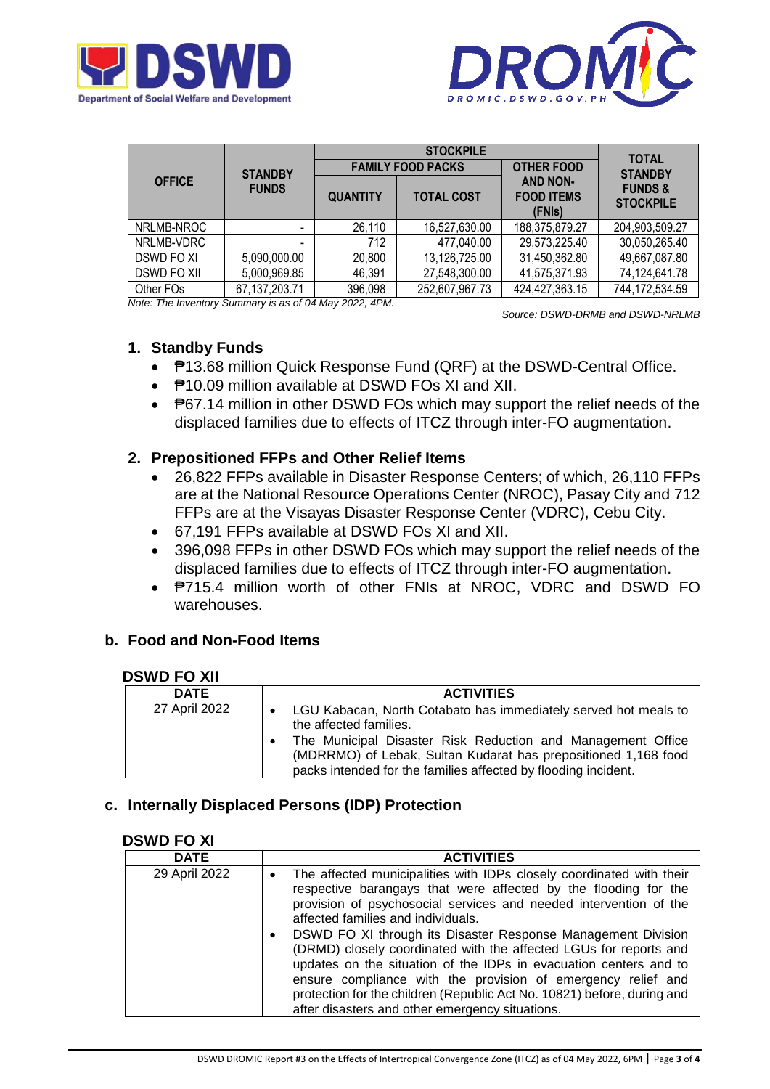



|                    |                  |                 | <b>TOTAL</b>             |                                                |                                        |  |
|--------------------|------------------|-----------------|--------------------------|------------------------------------------------|----------------------------------------|--|
| <b>STANDBY</b>     |                  |                 | <b>FAMILY FOOD PACKS</b> | <b>OTHER FOOD</b>                              | <b>STANDBY</b>                         |  |
| <b>OFFICE</b>      | <b>FUNDS</b>     | <b>QUANTITY</b> | <b>TOTAL COST</b>        | <b>AND NON-</b><br><b>FOOD ITEMS</b><br>(FNIs) | <b>FUNDS &amp;</b><br><b>STOCKPILE</b> |  |
| NRLMB-NROC         |                  | 26,110          | 16,527,630.00            | 188,375,879.27                                 | 204,903,509.27                         |  |
| NRLMB-VDRC         | -                | 712             | 477,040.00               | 29,573,225.40                                  | 30,050,265.40                          |  |
| DSWD FO XI         | 5,090,000.00     | 20,800          | 13,126,725.00            | 31,450,362.80                                  | 49,667,087.80                          |  |
| <b>DSWD FO XII</b> | 5,000,969.85     | 46,391          | 27,548,300.00            | 41,575,371.93                                  | 74,124,641.78                          |  |
| Other FOs          | 67, 137, 203. 71 | 396,098         | 252,607,967.73           | 424,427,363.15                                 | 744,172,534.59                         |  |

*Note: The Inventory Summary is as of 04 May 2022, 4PM.*

 *Source: DSWD-DRMB and DSWD-NRLMB*

#### **1. Standby Funds**

- ₱13.68 million Quick Response Fund (QRF) at the DSWD-Central Office.
- ₱10.09 million available at DSWD FOs XI and XII.
- P67.14 million in other DSWD FOs which may support the relief needs of the displaced families due to effects of ITCZ through inter-FO augmentation.

### **2. Prepositioned FFPs and Other Relief Items**

- 26,822 FFPs available in Disaster Response Centers; of which, 26,110 FFPs are at the National Resource Operations Center (NROC), Pasay City and 712 FFPs are at the Visayas Disaster Response Center (VDRC), Cebu City.
- 67,191 FFPs available at DSWD FOs XI and XII.
- 396,098 FFPs in other DSWD FOs which may support the relief needs of the displaced families due to effects of ITCZ through inter-FO augmentation.
- **P715.4 million worth of other FNIs at NROC, VDRC and DSWD FO** warehouses.

### **b. Food and Non-Food Items**

#### **DSWD FO XII**

| <b>DATE</b>   | <b>ACTIVITIES</b>                                                                                                                                                                               |
|---------------|-------------------------------------------------------------------------------------------------------------------------------------------------------------------------------------------------|
| 27 April 2022 | • LGU Kabacan, North Cotabato has immediately served hot meals to<br>the affected families.                                                                                                     |
|               | The Municipal Disaster Risk Reduction and Management Office<br>(MDRRMO) of Lebak, Sultan Kudarat has prepositioned 1,168 food<br>packs intended for the families affected by flooding incident. |

### **c. Internally Displaced Persons (IDP) Protection**

#### **DSWD FO XI**

| <b>DATE</b>   | <b>ACTIVITIES</b>                                                                                                                                                                                                                                                                                                                                                                                                 |
|---------------|-------------------------------------------------------------------------------------------------------------------------------------------------------------------------------------------------------------------------------------------------------------------------------------------------------------------------------------------------------------------------------------------------------------------|
| 29 April 2022 | The affected municipalities with IDPs closely coordinated with their<br>$\bullet$<br>respective barangays that were affected by the flooding for the<br>provision of psychosocial services and needed intervention of the<br>affected families and individuals.                                                                                                                                                   |
|               | DSWD FO XI through its Disaster Response Management Division<br>$\bullet$<br>(DRMD) closely coordinated with the affected LGUs for reports and<br>updates on the situation of the IDPs in evacuation centers and to<br>ensure compliance with the provision of emergency relief and<br>protection for the children (Republic Act No. 10821) before, during and<br>after disasters and other emergency situations. |